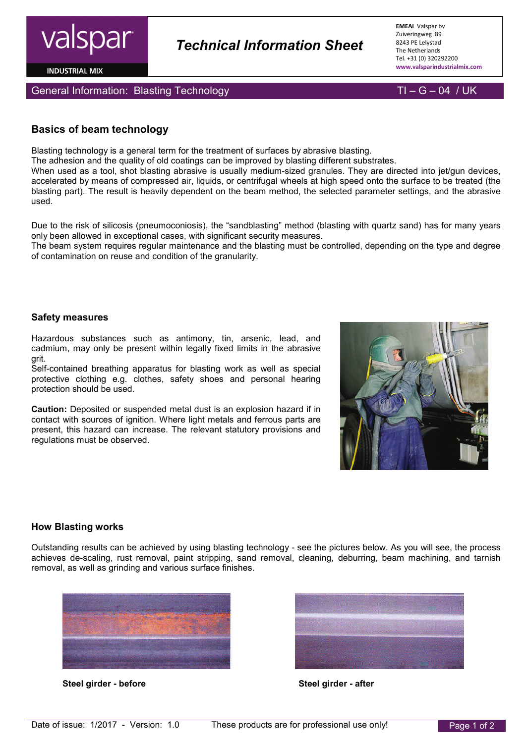

**INDUSTRIAL MIX** 

General Information: Blasting Technology TI – G – 04 / UK

# **Basics of beam technology**

Blasting technology is a general term for the treatment of surfaces by abrasive blasting.

The adhesion and the quality of old coatings can be improved by blasting different substrates.

When used as a tool, shot blasting abrasive is usually medium-sized granules. They are directed into jet/gun devices, accelerated by means of compressed air, liquids, or centrifugal wheels at high speed onto the surface to be treated (the blasting part). The result is heavily dependent on the beam method, the selected parameter settings, and the abrasive used.

 *Technical Information Sheet*

Due to the risk of silicosis (pneumoconiosis), the "sandblasting" method (blasting with quartz sand) has for many years only been allowed in exceptional cases, with significant security measures.

The beam system requires regular maintenance and the blasting must be controlled, depending on the type and degree of contamination on reuse and condition of the granularity.

### **Safety measures**

Hazardous substances such as antimony, tin, arsenic, lead, and cadmium, may only be present within legally fixed limits in the abrasive grit.

Self-contained breathing apparatus for blasting work as well as special protective clothing e.g. clothes, safety shoes and personal hearing protection should be used.

**Caution:** Deposited or suspended metal dust is an explosion hazard if in contact with sources of ignition. Where light metals and ferrous parts are present, this hazard can increase. The relevant statutory provisions and regulations must be observed.



#### **How Blasting works**

Outstanding results can be achieved by using blasting technology - see the pictures below. As you will see, the process achieves de-scaling, rust removal, paint stripping, sand removal, cleaning, deburring, beam machining, and tarnish removal, as well as grinding and various surface finishes.



**Steel girder - before Steel girder - after**